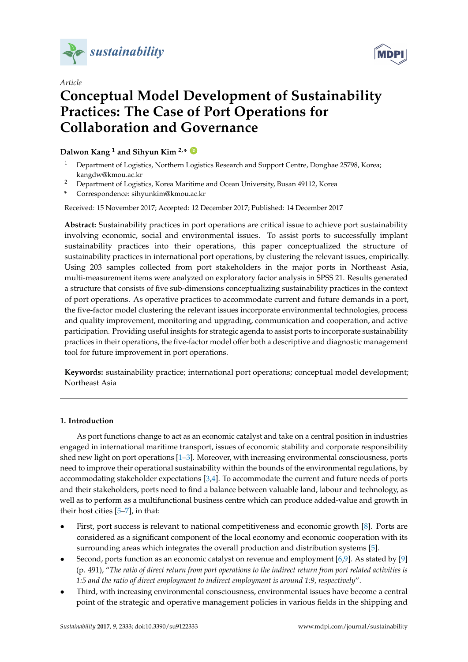



# *Article* **Conceptual Model Development of Sustainability Practices: The Case of Port Operations for Collaboration and Governance**

**Dalwon Kang <sup>1</sup> and Sihyun Kim 2,\* [ID](https://orcid.org/0000-0001-7356-0832)**

- <sup>1</sup> Department of Logistics, Northern Logistics Research and Support Centre, Donghae 25798, Korea; kangdw@kmou.ac.kr
- <sup>2</sup> Department of Logistics, Korea Maritime and Ocean University, Busan 49112, Korea
- **\*** Correspondence: sihyunkim@kmou.ac.kr

Received: 15 November 2017; Accepted: 12 December 2017; Published: 14 December 2017

**Abstract:** Sustainability practices in port operations are critical issue to achieve port sustainability involving economic, social and environmental issues. To assist ports to successfully implant sustainability practices into their operations, this paper conceptualized the structure of sustainability practices in international port operations, by clustering the relevant issues, empirically. Using 203 samples collected from port stakeholders in the major ports in Northeast Asia, multi-measurement items were analyzed on exploratory factor analysis in SPSS 21. Results generated a structure that consists of five sub-dimensions conceptualizing sustainability practices in the context of port operations. As operative practices to accommodate current and future demands in a port, the five-factor model clustering the relevant issues incorporate environmental technologies, process and quality improvement, monitoring and upgrading, communication and cooperation, and active participation. Providing useful insights for strategic agenda to assist ports to incorporate sustainability practices in their operations, the five-factor model offer both a descriptive and diagnostic management tool for future improvement in port operations.

**Keywords:** sustainability practice; international port operations; conceptual model development; Northeast Asia

## **1. Introduction**

As port functions change to act as an economic catalyst and take on a central position in industries engaged in international maritime transport, issues of economic stability and corporate responsibility shed new light on port operations [\[1](#page-13-0)[–3\]](#page-13-1). Moreover, with increasing environmental consciousness, ports need to improve their operational sustainability within the bounds of the environmental regulations, by accommodating stakeholder expectations [\[3](#page-13-1)[,4\]](#page-13-2). To accommodate the current and future needs of ports and their stakeholders, ports need to find a balance between valuable land, labour and technology, as well as to perform as a multifunctional business centre which can produce added-value and growth in their host cities [\[5](#page-13-3)[–7\]](#page-13-4), in that:

- First, port success is relevant to national competitiveness and economic growth [\[8\]](#page-13-5). Ports are considered as a significant component of the local economy and economic cooperation with its surrounding areas which integrates the overall production and distribution systems [\[5\]](#page-13-3).
- Second, ports function as an economic catalyst on revenue and employment [\[6,](#page-13-6)[9\]](#page-13-7). As stated by [\[9\]](#page-13-7) (p. 491), "*The ratio of direct return from port operations to the indirect return from port related activities is 1:5 and the ratio of direct employment to indirect employment is around 1:9, respectively*".
- Third, with increasing environmental consciousness, environmental issues have become a central point of the strategic and operative management policies in various fields in the shipping and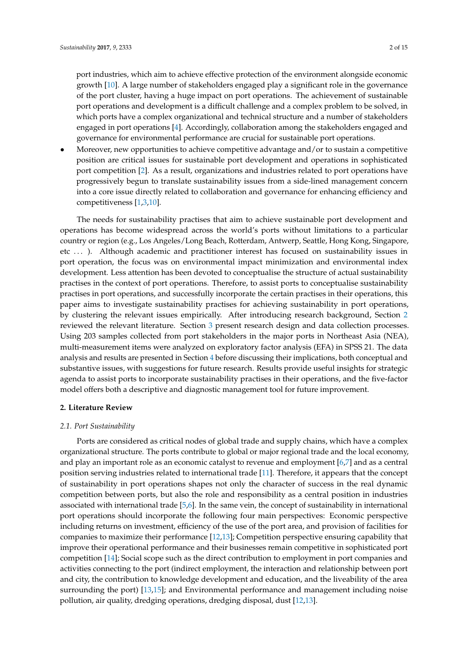port industries, which aim to achieve effective protection of the environment alongside economic growth [\[10\]](#page-13-8). A large number of stakeholders engaged play a significant role in the governance of the port cluster, having a huge impact on port operations. The achievement of sustainable port operations and development is a difficult challenge and a complex problem to be solved, in which ports have a complex organizational and technical structure and a number of stakeholders engaged in port operations [\[4\]](#page-13-2). Accordingly, collaboration among the stakeholders engaged and governance for environmental performance are crucial for sustainable port operations.

• Moreover, new opportunities to achieve competitive advantage and/or to sustain a competitive position are critical issues for sustainable port development and operations in sophisticated port competition [\[2\]](#page-13-9). As a result, organizations and industries related to port operations have progressively begun to translate sustainability issues from a side-lined management concern into a core issue directly related to collaboration and governance for enhancing efficiency and competitiveness [\[1](#page-13-0)[,3](#page-13-1)[,10\]](#page-13-8).

The needs for sustainability practises that aim to achieve sustainable port development and operations has become widespread across the world's ports without limitations to a particular country or region (e.g., Los Angeles/Long Beach, Rotterdam, Antwerp, Seattle, Hong Kong, Singapore, etc . . . ). Although academic and practitioner interest has focused on sustainability issues in port operation, the focus was on environmental impact minimization and environmental index development. Less attention has been devoted to conceptualise the structure of actual sustainability practises in the context of port operations. Therefore, to assist ports to conceptualise sustainability practises in port operations, and successfully incorporate the certain practises in their operations, this paper aims to investigate sustainability practises for achieving sustainability in port operations, by clustering the relevant issues empirically. After introducing research background, Section [2](#page-1-0) reviewed the relevant literature. Section [3](#page-6-0) present research design and data collection processes. Using 203 samples collected from port stakeholders in the major ports in Northeast Asia (NEA), multi-measurement items were analyzed on exploratory factor analysis (EFA) in SPSS 21. The data analysis and results are presented in Section [4](#page-9-0) before discussing their implications, both conceptual and substantive issues, with suggestions for future research. Results provide useful insights for strategic agenda to assist ports to incorporate sustainability practises in their operations, and the five-factor model offers both a descriptive and diagnostic management tool for future improvement.

## <span id="page-1-0"></span>**2. Literature Review**

#### *2.1. Port Sustainability*

Ports are considered as critical nodes of global trade and supply chains, which have a complex organizational structure. The ports contribute to global or major regional trade and the local economy, and play an important role as an economic catalyst to revenue and employment [\[6,](#page-13-6)[7\]](#page-13-4) and as a central position serving industries related to international trade [\[11\]](#page-13-10). Therefore, it appears that the concept of sustainability in port operations shapes not only the character of success in the real dynamic competition between ports, but also the role and responsibility as a central position in industries associated with international trade  $[5,6]$  $[5,6]$ . In the same vein, the concept of sustainability in international port operations should incorporate the following four main perspectives: Economic perspective including returns on investment, efficiency of the use of the port area, and provision of facilities for companies to maximize their performance [\[12,](#page-13-11)[13\]](#page-13-12); Competition perspective ensuring capability that improve their operational performance and their businesses remain competitive in sophisticated port competition [\[14\]](#page-13-13); Social scope such as the direct contribution to employment in port companies and activities connecting to the port (indirect employment, the interaction and relationship between port and city, the contribution to knowledge development and education, and the liveability of the area surrounding the port) [\[13](#page-13-12)[,15\]](#page-13-14); and Environmental performance and management including noise pollution, air quality, dredging operations, dredging disposal, dust [\[12](#page-13-11)[,13\]](#page-13-12).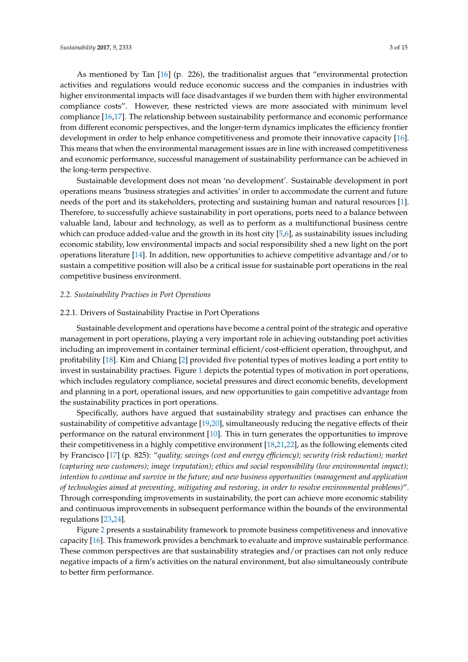As mentioned by Tan [\[16\]](#page-13-15) (p. 226), the traditionalist argues that "environmental protection activities and regulations would reduce economic success and the companies in industries with higher environmental impacts will face disadvantages if we burden them with higher environmental compliance costs". However, these restricted views are more associated with minimum level compliance [\[16,](#page-13-15)[17\]](#page-13-16). The relationship between sustainability performance and economic performance from different economic perspectives, and the longer-term dynamics implicates the efficiency frontier development in order to help enhance competitiveness and promote their innovative capacity [\[16\]](#page-13-15). This means that when the environmental management issues are in line with increased competitiveness and economic performance, successful management of sustainability performance can be achieved in the long-term perspective.

Sustainable development does not mean 'no development'. Sustainable development in port operations means 'business strategies and activities' in order to accommodate the current and future needs of the port and its stakeholders, protecting and sustaining human and natural resources [\[1\]](#page-13-0). Therefore, to successfully achieve sustainability in port operations, ports need to a balance between valuable land, labour and technology, as well as to perform as a multifunctional business centre which can produce added-value and the growth in its host city [\[5](#page-13-3)[,6\]](#page-13-6), as sustainability issues including economic stability, low environmental impacts and social responsibility shed a new light on the port operations literature [\[14\]](#page-13-13). In addition, new opportunities to achieve competitive advantage and/or to sustain a competitive position will also be a critical issue for sustainable port operations in the real competitive business environment.

## *2.2. Sustainability Practises in Port Operations*

#### 2.2.1. Drivers of Sustainability Practise in Port Operations

Sustainable development and operations have become a central point of the strategic and operative management in port operations, playing a very important role in achieving outstanding port activities including an improvement in container terminal efficient/cost-efficient operation, throughput, and profitability [\[18\]](#page-13-17). Kim and Chiang [\[2\]](#page-13-9) provided five potential types of motives leading a port entity to invest in sustainability practises. Figure [1](#page-3-0) depicts the potential types of motivation in port operations, which includes regulatory compliance, societal pressures and direct economic benefits, development and planning in a port, operational issues, and new opportunities to gain competitive advantage from the sustainability practices in port operations.

Specifically, authors have argued that sustainability strategy and practises can enhance the sustainability of competitive advantage [\[19,](#page-13-18)[20\]](#page-13-19), simultaneously reducing the negative effects of their performance on the natural environment [\[10\]](#page-13-8). This in turn generates the opportunities to improve their competitiveness in a highly competitive environment [\[18,](#page-13-17)[21](#page-14-0)[,22\]](#page-14-1), as the following elements cited by Francisco [\[17\]](#page-13-16) (p. 825): "*quality; savings (cost and energy efficiency); security (risk reduction); market (capturing new customers); image (reputation); ethics and social responsibility (low environmental impact); intention to continue and survive in the future; and new business opportunities (management and application of technologies aimed at preventing, mitigating and restoring, in order to resolve environmental problems)*". Through corresponding improvements in sustainability, the port can achieve more economic stability and continuous improvements in subsequent performance within the bounds of the environmental regulations [\[23](#page-14-2)[,24\]](#page-14-3).

Figure [2](#page-3-1) presents a sustainability framework to promote business competitiveness and innovative capacity [\[16\]](#page-13-15). This framework provides a benchmark to evaluate and improve sustainable performance. These common perspectives are that sustainability strategies and/or practises can not only reduce negative impacts of a firm's activities on the natural environment, but also simultaneously contribute to better firm performance.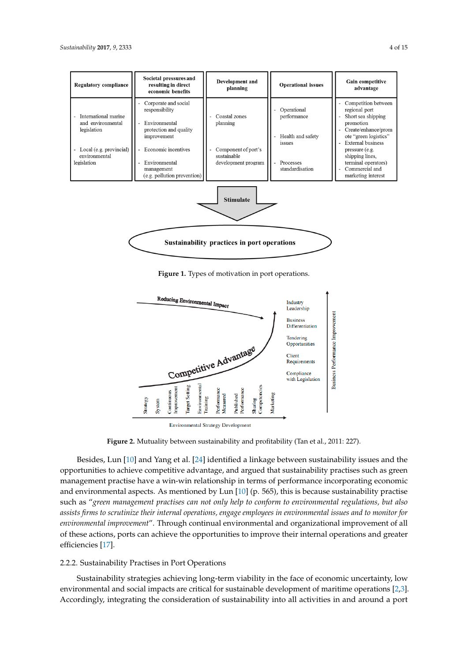<span id="page-3-0"></span>

<span id="page-3-1"></span>**Figure 1.** Types of motivation in port operations. only reduce negative impacts of a firm's activities on the natural environment, but also



**Figure 2.** Mutuality between sustainability and profitability (Tan et al., 2011: 227). **Figure 2.** Mutuality between sustainability and profitability (Tan et al., 2011: 227).

Besides, Lun [10] and Yang et al. [24] identified a linkage between sustainability issues and the Besides, Lun [\[10\]](#page-13-8) and Yang et al. [\[24\]](#page-14-3) identified a linkage between sustainability issues and the opportunities to achieve advantage, and argued that sustainability practices such as  $\frac{1}{2}$ opportunities to achieve competitive advantage, and argued that sustainability practises such as green management practise have a win-win relationship in terms of performance incorporating economic and environmental aspects. As mentioned by Lun [\[10\]](#page-13-8) (p. 565), this is because sustainability practise such as "green management practises can not only help to conform to environmental regulations, but also *monitor for environmental improvement*". Through continual environmental and organizational assists firms to scrutinize their internal operations, engage employees in environmental issues and to monitor for *environmental improvement"* . Through continual environmental and organizational improvement of all  $2.171$  Sustainability Practises in Port Operations in Port Operations in Port Operations in Port Operations in Port Operations in Port Operations in Port Operations in Port Operations in Port Operations in Port Operation of these actions, ports can achieve the opportunities to improve their internal operations and greater efficiencies [\[17\]](#page-13-16).

## 2.2.2. Sustainability Practises in Port Operations

Sustainability strategies achieving long-term viability in the face of economic uncertainty, low environmental and social impacts are critical for sustainable development of maritime operations [\[2](#page-13-9)[,3\]](#page-13-1). Accordingly, integrating the consideration of sustainability into all activities in and around a port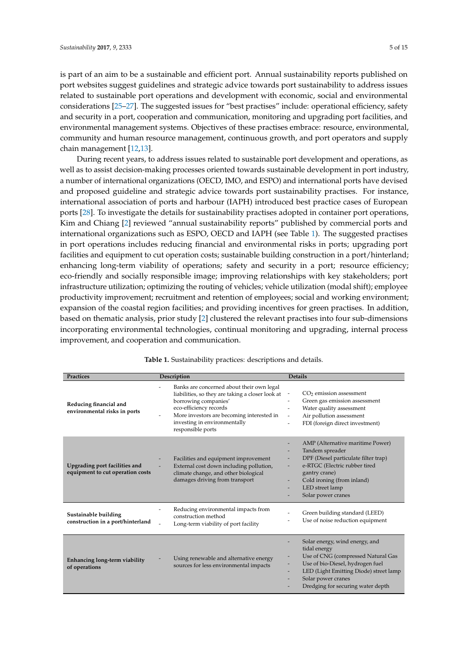is part of an aim to be a sustainable and efficient port. Annual sustainability reports published on port websites suggest guidelines and strategic advice towards port sustainability to address issues related to sustainable port operations and development with economic, social and environmental considerations [\[25–](#page-14-4)[27\]](#page-14-5). The suggested issues for "best practises" include: operational efficiency, safety and security in a port, cooperation and communication, monitoring and upgrading port facilities, and environmental management systems. Objectives of these practises embrace: resource, environmental, community and human resource management, continuous growth, and port operators and supply chain management [\[12,](#page-13-11)[13\]](#page-13-12).

During recent years, to address issues related to sustainable port development and operations, as well as to assist decision-making processes oriented towards sustainable development in port industry, a number of international organizations (OECD, IMO, and ESPO) and international ports have devised and proposed guideline and strategic advice towards port sustainability practises. For instance, international association of ports and harbour (IAPH) introduced best practice cases of European ports [\[28\]](#page-14-6). To investigate the details for sustainability practises adopted in container port operations, Kim and Chiang [\[2\]](#page-13-9) reviewed "annual sustainability reports" published by commercial ports and international organizations such as ESPO, OECD and IAPH (see Table [1\)](#page-5-0). The suggested practises in port operations includes reducing financial and environmental risks in ports; upgrading port facilities and equipment to cut operation costs; sustainable building construction in a port/hinterland; enhancing long-term viability of operations; safety and security in a port; resource efficiency; eco-friendly and socially responsible image; improving relationships with key stakeholders; port infrastructure utilization; optimizing the routing of vehicles; vehicle utilization (modal shift); employee productivity improvement; recruitment and retention of employees; social and working environment; expansion of the coastal region facilities; and providing incentives for green practises. In addition, based on thematic analysis, prior study [\[2\]](#page-13-9) clustered the relevant practises into four sub-dimensions incorporating environmental technologies, continual monitoring and upgrading, internal process improvement, and cooperation and communication.

| Practices                                                         | Description                                                                                                                                                                                                                                                                   | <b>Details</b>                                                                                                                                                                                                                |  |  |
|-------------------------------------------------------------------|-------------------------------------------------------------------------------------------------------------------------------------------------------------------------------------------------------------------------------------------------------------------------------|-------------------------------------------------------------------------------------------------------------------------------------------------------------------------------------------------------------------------------|--|--|
| Reducing financial and<br>environmental risks in ports            | Banks are concerned about their own legal<br>liabilities, so they are taking a closer look at<br>borrowing companies'<br>eco-efficiency records<br>More investors are becoming interested in<br>$\overline{\phantom{a}}$<br>investing in environmentally<br>responsible ports | $CO2$ emission assessment<br>-<br>Green gas emission assessment<br>Water quality assessment<br>Air pollution assessment<br>$\overline{\phantom{0}}$<br>FDI (foreign direct investment)                                        |  |  |
| Upgrading port facilities and<br>equipment to cut operation costs | Facilities and equipment improvement<br>External cost down including pollution,<br>climate change, and other biological<br>damages driving from transport                                                                                                                     | AMP (Alternative maritime Power)<br>Tandem spreader<br>DPF (Diesel particulate filter trap)<br>e-RTGC (Electric rubber tired<br>gantry crane)<br>Cold ironing (from inland)<br>LED street lamp<br>Solar power cranes          |  |  |
| Sustainable building<br>construction in a port/hinterland         | Reducing environmental impacts from<br>construction method<br>Long-term viability of port facility                                                                                                                                                                            | Green building standard (LEED)<br>Use of noise reduction equipment                                                                                                                                                            |  |  |
| Enhancing long-term viability<br>of operations                    | Using renewable and alternative energy<br>sources for less environmental impacts                                                                                                                                                                                              | Solar energy, wind energy, and<br>tidal energy<br>Use of CNG (compressed Natural Gas<br>Use of bio-Diesel, hydrogen fuel<br>LED (Light Emitting Diode) street lamp<br>Solar power cranes<br>Dredging for securing water depth |  |  |

**Table 1.** Sustainability practices: descriptions and details.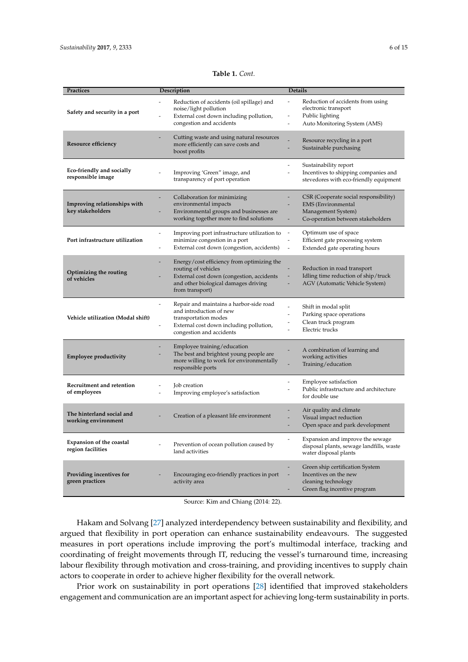<span id="page-5-0"></span>

| Practices                                        | Description                                                                                                                                                                         | <b>Details</b>                                                                                                                                        |
|--------------------------------------------------|-------------------------------------------------------------------------------------------------------------------------------------------------------------------------------------|-------------------------------------------------------------------------------------------------------------------------------------------------------|
| Safety and security in a port                    | Reduction of accidents (oil spillage) and<br>noise/light pollution<br>External cost down including pollution,<br>congestion and accidents                                           | Reduction of accidents from using<br>$\overline{a}$<br>electronic transport<br>Public lighting<br>L,<br>Auto Monitoring System (AMS)<br>$\frac{1}{2}$ |
| Resource efficiency                              | Cutting waste and using natural resources<br>more efficiently can save costs and<br>boost profits                                                                                   | Resource recycling in a port<br>Sustainable purchasing                                                                                                |
| Eco-friendly and socially<br>responsible image   | Improving 'Green" image, and<br>transparency of port operation                                                                                                                      | Sustainability report<br>Incentives to shipping companies and<br>stevedores with eco-friendly equipment                                               |
| Improving relationships with<br>key stakeholders | Collaboration for minimizing<br>environmental impacts<br>Environmental groups and businesses are<br>working together more to find solutions                                         | CSR (Cooperate social responsibility)<br><b>EMS</b> (Environmental<br>Management System)<br>Co-operation between stakeholders                         |
| Port infrastructure utilization                  | Improving port infrastructure utilization to<br>minimize congestion in a port<br>External cost down (congestion, accidents)<br>L,                                                   | Optimum use of space<br>$\overline{\phantom{m}}$<br>Efficient gate processing system<br>Extended gate operating hours                                 |
| Optimizing the routing<br>of vehicles            | Energy/cost efficiency from optimizing the<br>routing of vehicles<br>External cost down (congestion, accidents<br>and other biological damages driving<br>from transport)           | Reduction in road transport<br>Idling time reduction of ship/truck<br>AGV (Automatic Vehicle System)                                                  |
| Vehicle utilization (Modal shift)                | Repair and maintains a harbor-side road<br>$\overline{a}$<br>and introduction of new<br>transportation modes<br>External cost down including pollution,<br>congestion and accidents | Shift in modal split<br>Parking space operations<br>Clean truck program<br>Electric trucks                                                            |
| <b>Employee productivity</b>                     | Employee training/education<br>The best and brightest young people are<br>more willing to work for environmentally<br>responsible ports                                             | A combination of learning and<br>working activities<br>Training/education                                                                             |
| Recruitment and retention<br>of employees        | Job creation<br>Improving employee's satisfaction                                                                                                                                   | Employee satisfaction<br>Public infrastructure and architecture<br>for double use                                                                     |
| The hinterland social and<br>working environment | Creation of a pleasant life environment                                                                                                                                             | Air quality and climate<br>Visual impact reduction<br>Open space and park development                                                                 |
| Expansion of the coastal<br>region facilities    | Prevention of ocean pollution caused by<br>land activities                                                                                                                          | Expansion and improve the sewage<br>disposal plants, sewage landfills, waste<br>water disposal plants                                                 |
| Providing incentives for<br>green practices      | Encouraging eco-friendly practices in port<br>activity area                                                                                                                         | Green ship certification System<br>Incentives on the new<br>cleaning technology<br>Green flag incentive program                                       |

#### **Table 1.** *Cont.*

Source: Kim and Chiang (2014: 22).

Hakam and Solvang [\[27\]](#page-14-5) analyzed interdependency between sustainability and flexibility, and argued that flexibility in port operation can enhance sustainability endeavours. The suggested measures in port operations include improving the port's multimodal interface, tracking and coordinating of freight movements through IT, reducing the vessel's turnaround time, increasing labour flexibility through motivation and cross-training, and providing incentives to supply chain actors to cooperate in order to achieve higher flexibility for the overall network.

Prior work on sustainability in port operations [\[28\]](#page-14-6) identified that improved stakeholders engagement and communication are an important aspect for achieving long-term sustainability in ports.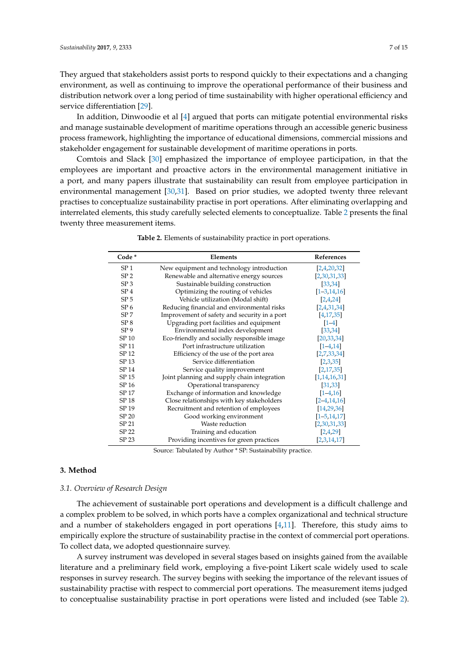They argued that stakeholders assist ports to respond quickly to their expectations and a changing environment, as well as continuing to improve the operational performance of their business and distribution network over a long period of time sustainability with higher operational efficiency and service differentiation [\[29\]](#page-14-7).

In addition, Dinwoodie et al [\[4\]](#page-13-2) argued that ports can mitigate potential environmental risks and manage sustainable development of maritime operations through an accessible generic business process framework, highlighting the importance of educational dimensions, commercial missions and stakeholder engagement for sustainable development of maritime operations in ports.

Comtois and Slack [\[30\]](#page-14-8) emphasized the importance of employee participation, in that the employees are important and proactive actors in the environmental management initiative in a port, and many papers illustrate that sustainability can result from employee participation in environmental management [\[30,](#page-14-8)[31\]](#page-14-9). Based on prior studies, we adopted twenty three relevant practises to conceptualize sustainability practise in port operations. After eliminating overlapping and interrelated elements, this study carefully selected elements to conceptualize. Table [2](#page-6-1) presents the final twenty three measurement items.

<span id="page-6-1"></span>

| Code <sup>*</sup> | <b>Elements</b>                              | <b>References</b>   |
|-------------------|----------------------------------------------|---------------------|
| SP <sub>1</sub>   | New equipment and technology introduction    | [2,4,20,32]         |
| SP <sub>2</sub>   | Renewable and alternative energy sources     | [2,30,31,33]        |
| SP <sub>3</sub>   | Sustainable building construction            | [33, 34]            |
| SP <sub>4</sub>   | Optimizing the routing of vehicles           | $[1 - 3, 14, 16]$   |
| SP <sub>5</sub>   | Vehicle utilization (Modal shift)            | [2,4,24]            |
| SP <sub>6</sub>   | Reducing financial and environmental risks   | [2,4,31,34]         |
| SP <sub>7</sub>   | Improvement of safety and security in a port | [4, 17, 35]         |
| SP 8              | Upgrading port facilities and equipment      | $\lceil 1-4 \rceil$ |
| SP <sub>9</sub>   | Environmental index development              | [33, 34]            |
| SP 10             | Eco-friendly and socially responsible image  | [20, 33, 34]        |
| SP 11             | Port infrastructure utilization              | $[1-4, 14]$         |
| SP 12             | Efficiency of the use of the port area       | [2,7,33,34]         |
| SP 13             | Service differentiation                      | [2,3,35]            |
| SP 14             | Service quality improvement                  | [2,17,35]           |
| SP 15             | Joint planning and supply chain integration  | [1, 14, 16, 31]     |
| SP 16             | Operational transparency                     | [31, 33]            |
| SP 17             | Exchange of information and knowledge        | $[1-4, 16]$         |
| SP 18             | Close relationships with key stakeholders    | $[2 - 4, 14, 16]$   |
| SP 19             | Recruitment and retention of employees       | [14, 29, 36]        |
| SP 20             | Good working environment                     | $[1 - 5, 14, 17]$   |
| SP 21             | Waste reduction                              | [2,30,31,33]        |
| SP 22             | Training and education                       | [2,4,29]            |
| SP 23             | Providing incentives for green practices     | [2,3,14,17]         |

**Table 2.** Elements of sustainability practice in port operations.

Source: Tabulated by Author \* SP: Sustainability practice.

## <span id="page-6-0"></span>**3. Method**

## *3.1. Overview of Research Design*

The achievement of sustainable port operations and development is a difficult challenge and a complex problem to be solved, in which ports have a complex organizational and technical structure and a number of stakeholders engaged in port operations [\[4](#page-13-2)[,11\]](#page-13-10). Therefore, this study aims to empirically explore the structure of sustainability practise in the context of commercial port operations. To collect data, we adopted questionnaire survey.

A survey instrument was developed in several stages based on insights gained from the available literature and a preliminary field work, employing a five-point Likert scale widely used to scale responses in survey research. The survey begins with seeking the importance of the relevant issues of sustainability practise with respect to commercial port operations. The measurement items judged to conceptualise sustainability practise in port operations were listed and included (see Table [2\)](#page-6-1).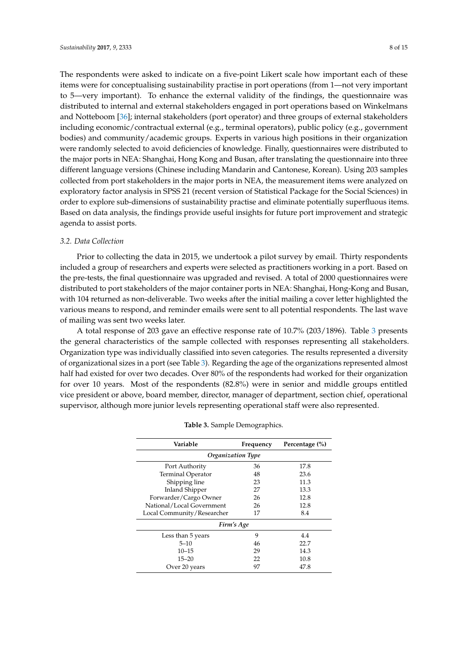The respondents were asked to indicate on a five-point Likert scale how important each of these items were for conceptualising sustainability practise in port operations (from 1—not very important to 5—very important). To enhance the external validity of the findings, the questionnaire was distributed to internal and external stakeholders engaged in port operations based on Winkelmans and Notteboom [\[36\]](#page-14-14); internal stakeholders (port operator) and three groups of external stakeholders including economic/contractual external (e.g., terminal operators), public policy (e.g., government bodies) and community/academic groups. Experts in various high positions in their organization were randomly selected to avoid deficiencies of knowledge. Finally, questionnaires were distributed to the major ports in NEA: Shanghai, Hong Kong and Busan, after translating the questionnaire into three different language versions (Chinese including Mandarin and Cantonese, Korean). Using 203 samples collected from port stakeholders in the major ports in NEA, the measurement items were analyzed on exploratory factor analysis in SPSS 21 (recent version of Statistical Package for the Social Sciences) in order to explore sub-dimensions of sustainability practise and eliminate potentially superfluous items. Based on data analysis, the findings provide useful insights for future port improvement and strategic agenda to assist ports.

#### *3.2. Data Collection*

Prior to collecting the data in 2015, we undertook a pilot survey by email. Thirty respondents included a group of researchers and experts were selected as practitioners working in a port. Based on the pre-tests, the final questionnaire was upgraded and revised. A total of 2000 questionnaires were distributed to port stakeholders of the major container ports in NEA: Shanghai, Hong-Kong and Busan, with 104 returned as non-deliverable. Two weeks after the initial mailing a cover letter highlighted the various means to respond, and reminder emails were sent to all potential respondents. The last wave of mailing was sent two weeks later.

A total response of 203 gave an effective response rate of 10.7% (203/1896). Table [3](#page-8-0) presents the general characteristics of the sample collected with responses representing all stakeholders. Organization type was individually classified into seven categories. The results represented a diversity of organizational sizes in a port (see Table [3\)](#page-8-0). Regarding the age of the organizations represented almost half had existed for over two decades. Over 80% of the respondents had worked for their organization for over 10 years. Most of the respondents (82.8%) were in senior and middle groups entitled vice president or above, board member, director, manager of department, section chief, operational supervisor, although more junior levels representing operational staff were also represented.

| Variable                   | Frequency | Percentage $(\% )$ |  |  |  |  |
|----------------------------|-----------|--------------------|--|--|--|--|
| Organization Type          |           |                    |  |  |  |  |
| Port Authority             | 36        | 17.8               |  |  |  |  |
| <b>Terminal Operator</b>   | 48        | 23.6               |  |  |  |  |
| Shipping line              | 23        | 11.3               |  |  |  |  |
| <b>Inland Shipper</b>      | 27        | 13.3               |  |  |  |  |
| Forwarder/Cargo Owner      | 26        | 12.8               |  |  |  |  |
| National/Local Government  | 26        | 12.8               |  |  |  |  |
| Local Community/Researcher | 17        | 8.4                |  |  |  |  |
| Firm's Age                 |           |                    |  |  |  |  |
| Less than 5 years          | 9         | 4.4                |  |  |  |  |
| $5 - 10$                   | 46        | 22.7               |  |  |  |  |
| $10 - 15$                  | 29        | 14.3               |  |  |  |  |
| $15 - 20$                  | 22        | 10.8               |  |  |  |  |
| Over 20 years              | 97        | 47.8               |  |  |  |  |
|                            |           |                    |  |  |  |  |

|  |  | Table 3. Sample Demographics. |  |
|--|--|-------------------------------|--|
|--|--|-------------------------------|--|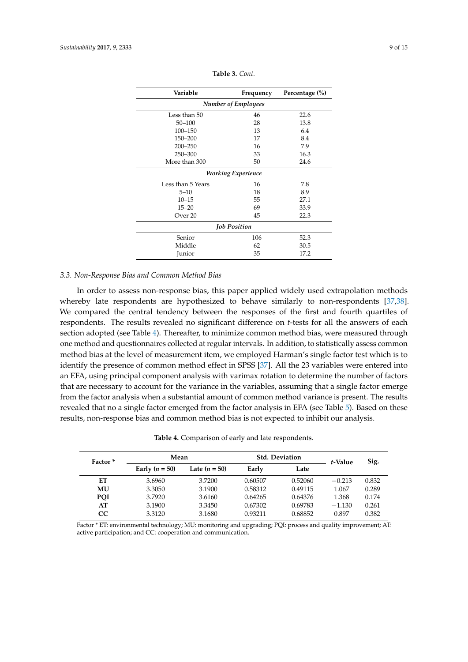<span id="page-8-0"></span>

| Variable                   | Frequency                 | Percentage (%) |  |  |  |
|----------------------------|---------------------------|----------------|--|--|--|
| <b>Number of Employees</b> |                           |                |  |  |  |
| Less than 50               | 46                        | 22.6           |  |  |  |
| 50-100                     | 28                        | 13.8           |  |  |  |
| 100-150                    | 13                        | 6.4            |  |  |  |
| 150-200                    | 17                        | 8.4            |  |  |  |
| $200 - 250$                | 16                        | 7.9            |  |  |  |
| 250-300                    | 33                        | 16.3           |  |  |  |
| More than 300              | 50                        | 24.6           |  |  |  |
|                            | <b>Working Experience</b> |                |  |  |  |
| Less than 5 Years          | 16                        | 7.8            |  |  |  |
| $5 - 10$                   | 18                        | 8.9            |  |  |  |
| $10 - 15$                  | 55                        | 27.1           |  |  |  |
| $15 - 20$                  | 69                        | 33.9           |  |  |  |
| Over 20                    | 45                        | 22.3           |  |  |  |
| <b>Job Position</b>        |                           |                |  |  |  |
| Senior                     | 106                       | 52.3           |  |  |  |
| Middle                     | 62                        | 30.5           |  |  |  |
| Junior                     | 35                        | 17.2           |  |  |  |

**Table 3.** *Cont.*

#### *3.3. Non-Response Bias and Common Method Bias*

In order to assess non-response bias, this paper applied widely used extrapolation methods whereby late respondents are hypothesized to behave similarly to non-respondents [\[37,](#page-14-15)[38\]](#page-14-16). We compared the central tendency between the responses of the first and fourth quartiles of respondents. The results revealed no significant difference on *t*-tests for all the answers of each section adopted (see Table [4\)](#page-8-1). Thereafter, to minimize common method bias, were measured through one method and questionnaires collected at regular intervals. In addition, to statistically assess common method bias at the level of measurement item, we employed Harman's single factor test which is to identify the presence of common method effect in SPSS [\[37\]](#page-14-15). All the 23 variables were entered into an EFA, using principal component analysis with varimax rotation to determine the number of factors that are necessary to account for the variance in the variables, assuming that a single factor emerge from the factor analysis when a substantial amount of common method variance is present. The results revealed that no a single factor emerged from the factor analysis in EFA (see Table [5\)](#page-9-1). Based on these results, non-response bias and common method bias is not expected to inhibit our analysis.

**Table 4.** Comparison of early and late respondents.

<span id="page-8-1"></span>

| Factor <sup>*</sup> | Mean             |                 | <b>Std. Deviation</b> |         | t-Value  | Sig.  |
|---------------------|------------------|-----------------|-----------------------|---------|----------|-------|
|                     | Early $(n = 50)$ | Late $(n = 50)$ | Early                 | Late    |          |       |
| EТ                  | 3.6960           | 3.7200          | 0.60507               | 0.52060 | $-0.213$ | 0.832 |
| MU                  | 3.3050           | 3.1900          | 0.58312               | 0.49115 | 1.067    | 0.289 |
| <b>POI</b>          | 3.7920           | 3.6160          | 0.64265               | 0.64376 | 1.368    | 0.174 |
| AT                  | 3.1900           | 3.3450          | 0.67302               | 0.69783 | $-1.130$ | 0.261 |
| <b>CC</b>           | 3.3120           | 3.1680          | 0.93211               | 0.68852 | 0.897    | 0.382 |

Factor \* ET: environmental technology; MU: monitoring and upgrading; PQI: process and quality improvement; AT: active participation; and CC: cooperation and communication.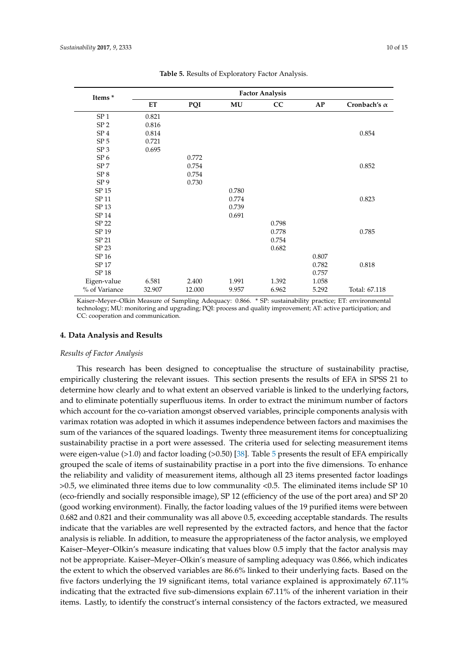<span id="page-9-1"></span>

| Items <sup>*</sup> |        |        |       | <b>Factor Analysis</b> |       |                     |
|--------------------|--------|--------|-------|------------------------|-------|---------------------|
|                    | ET     | PQI    | MU    | CC                     | AP    | Cronbach's $\alpha$ |
| SP <sub>1</sub>    | 0.821  |        |       |                        |       |                     |
| SP <sub>2</sub>    | 0.816  |        |       |                        |       |                     |
| SP <sub>4</sub>    | 0.814  |        |       |                        |       | 0.854               |
| SP <sub>5</sub>    | 0.721  |        |       |                        |       |                     |
| SP <sub>3</sub>    | 0.695  |        |       |                        |       |                     |
| SP <sub>6</sub>    |        | 0.772  |       |                        |       |                     |
| SP <sub>7</sub>    |        | 0.754  |       |                        |       | 0.852               |
| SP 8               |        | 0.754  |       |                        |       |                     |
| SP <sub>9</sub>    |        | 0.730  |       |                        |       |                     |
| SP 15              |        |        | 0.780 |                        |       |                     |
| SP 11              |        |        | 0.774 |                        |       | 0.823               |
| SP 13              |        |        | 0.739 |                        |       |                     |
| SP 14              |        |        | 0.691 |                        |       |                     |
| SP 22              |        |        |       | 0.798                  |       |                     |
| SP 19              |        |        |       | 0.778                  |       | 0.785               |
| SP 21              |        |        |       | 0.754                  |       |                     |
| SP 23              |        |        |       | 0.682                  |       |                     |
| SP 16              |        |        |       |                        | 0.807 |                     |
| SP 17              |        |        |       |                        | 0.782 | 0.818               |
| SP 18              |        |        |       |                        | 0.757 |                     |
| Eigen-value        | 6.581  | 2.400  | 1.991 | 1.392                  | 1.058 |                     |
| % of Variance      | 32.907 | 12.000 | 9.957 | 6.962                  | 5.292 | Total: 67.118       |

**Table 5.** Results of Exploratory Factor Analysis.

Kaiser–Meyer–Olkin Measure of Sampling Adequacy: 0.866. \* SP: sustainability practice; ET: environmental technology; MU: monitoring and upgrading; PQI: process and quality improvement; AT: active participation; and CC: cooperation and communication.

#### <span id="page-9-0"></span>**4. Data Analysis and Results**

#### *Results of Factor Analysis*

This research has been designed to conceptualise the structure of sustainability practise, empirically clustering the relevant issues. This section presents the results of EFA in SPSS 21 to determine how clearly and to what extent an observed variable is linked to the underlying factors, and to eliminate potentially superfluous items. In order to extract the minimum number of factors which account for the co-variation amongst observed variables, principle components analysis with varimax rotation was adopted in which it assumes independence between factors and maximises the sum of the variances of the squared loadings. Twenty three measurement items for conceptualizing sustainability practise in a port were assessed. The criteria used for selecting measurement items were eigen-value (>1.0) and factor loading (>0.50) [\[38\]](#page-14-16). Table [5](#page-9-1) presents the result of EFA empirically grouped the scale of items of sustainability practise in a port into the five dimensions. To enhance the reliability and validity of measurement items, although all 23 items presented factor loadings >0.5, we eliminated three items due to low communality <0.5. The eliminated items include SP 10 (eco-friendly and socially responsible image), SP 12 (efficiency of the use of the port area) and SP 20 (good working environment). Finally, the factor loading values of the 19 purified items were between 0.682 and 0.821 and their communality was all above 0.5, exceeding acceptable standards. The results indicate that the variables are well represented by the extracted factors, and hence that the factor analysis is reliable. In addition, to measure the appropriateness of the factor analysis, we employed Kaiser–Meyer–Olkin's measure indicating that values blow 0.5 imply that the factor analysis may not be appropriate. Kaiser–Meyer–Olkin's measure of sampling adequacy was 0.866, which indicates the extent to which the observed variables are 86.6% linked to their underlying facts. Based on the five factors underlying the 19 significant items, total variance explained is approximately 67.11% indicating that the extracted five sub-dimensions explain 67.11% of the inherent variation in their items. Lastly, to identify the construct's internal consistency of the factors extracted, we measured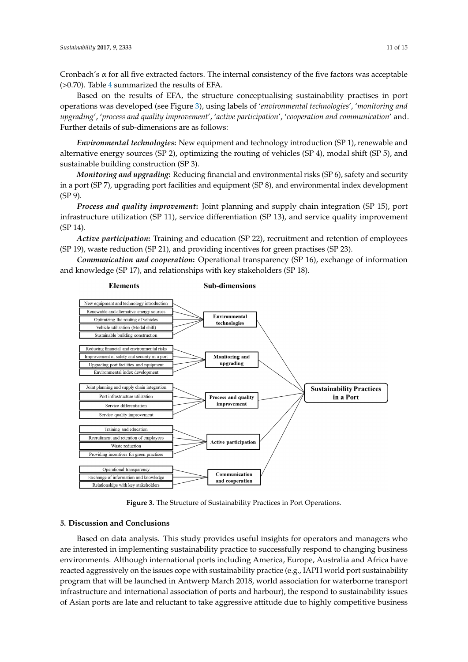Cronbach's  $\alpha$  for all five extracted factors. The internal consistency of the five factors was acceptable  $(>0.70)$ . Table 4 summarized the results of EFA.

Based on the results of EFA, the structure conceptualising sustainability practises in port operations was developed (see Figure 3), using labels of 'environ[men](#page-10-0)tal technologies', 'monitoring and upgrading', 'process and quality improvement', 'active participation', 'cooperation and communication' and. Further details of sub-dimensions are as follows:

*Environmental technologies***:** New equipment and technology introduction (SP 1), renewable and alternative energy sources (SP 2), optimizing the routing of vehicles (SP 4), modal shift (SP 5), and sustainable building construction (SP 3).

*Monitoring and upgrading*: Reducing financial and environmental risks (SP 6), safety and security in a port (SP 7), upgrading port facilities and equipment (SP 8), and environmental index development (SP 9). *Process and quality improvement***:** Joint planning and supply chain integration (SP 15), port

*Process and quality improvement*: Joint planning and supply chain integration (SP 15), port infrastructure utilization (SP 11), service differentiation (SP 13), and service quality improvement (SP 14). *Active participation:* Training and education (SP 22), recruitment and retention of employees

Active participation: Training and education (SP 22), recruitment and retention of employees (SP 19), waste reduction (SP 21), and providing incentives for green practises (SP 23).

**Communication and cooperation:** Operational transparency (SP 16), exchange of information and knowledge (SP 17), and relationships with key stakeholders (SP 18).

<span id="page-10-0"></span>

**Figure 3.** The Structure of Sustainability Practices in Port Operations. **Figure 3.** The Structure of Sustainability Practices in Port Operations.

## **5. Discussion and Conclusions 5. Discussion and Conclusions**

Based on data analysis. This study provides useful insights for operators and managers who interested in implementing sustainability practice to successfully respond to changing business are interested in implementing sustainability practice to successfully respond to changing business environments. Although international ports including America, Europe, Australia and Africa have environments. Although international ports including America, Europe, Australia and Africa have reacted aggressively on the issues cope with sustainability practice (e.g., IAPH world port sustainability program that will be launched in Antwerp March 2018, world association for waterborne transport infrastructure and international association of ports and harbour), the respond to sustainability issues of Asian ports are late and reluctant to take aggressive attitude due to highly competitive business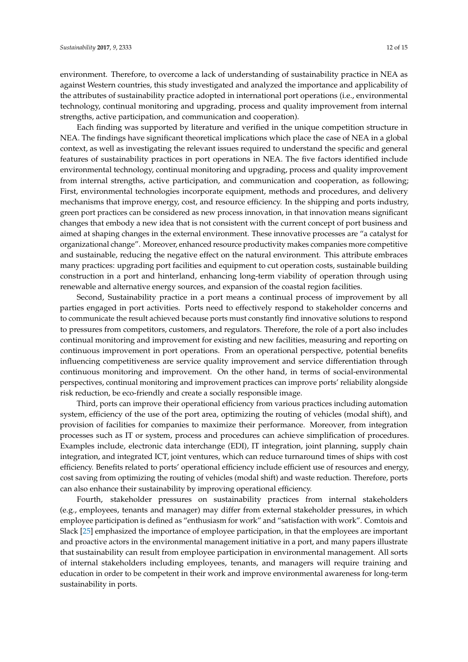environment. Therefore, to overcome a lack of understanding of sustainability practice in NEA as against Western countries, this study investigated and analyzed the importance and applicability of the attributes of sustainability practice adopted in international port operations (i.e., environmental technology, continual monitoring and upgrading, process and quality improvement from internal strengths, active participation, and communication and cooperation).

Each finding was supported by literature and verified in the unique competition structure in NEA. The findings have significant theoretical implications which place the case of NEA in a global context, as well as investigating the relevant issues required to understand the specific and general features of sustainability practices in port operations in NEA. The five factors identified include environmental technology, continual monitoring and upgrading, process and quality improvement from internal strengths, active participation, and communication and cooperation, as following; First, environmental technologies incorporate equipment, methods and procedures, and delivery mechanisms that improve energy, cost, and resource efficiency. In the shipping and ports industry, green port practices can be considered as new process innovation, in that innovation means significant changes that embody a new idea that is not consistent with the current concept of port business and aimed at shaping changes in the external environment. These innovative processes are "a catalyst for organizational change". Moreover, enhanced resource productivity makes companies more competitive and sustainable, reducing the negative effect on the natural environment. This attribute embraces many practices: upgrading port facilities and equipment to cut operation costs, sustainable building construction in a port and hinterland, enhancing long-term viability of operation through using renewable and alternative energy sources, and expansion of the coastal region facilities.

Second, Sustainability practice in a port means a continual process of improvement by all parties engaged in port activities. Ports need to effectively respond to stakeholder concerns and to communicate the result achieved because ports must constantly find innovative solutions to respond to pressures from competitors, customers, and regulators. Therefore, the role of a port also includes continual monitoring and improvement for existing and new facilities, measuring and reporting on continuous improvement in port operations. From an operational perspective, potential benefits influencing competitiveness are service quality improvement and service differentiation through continuous monitoring and improvement. On the other hand, in terms of social-environmental perspectives, continual monitoring and improvement practices can improve ports' reliability alongside risk reduction, be eco-friendly and create a socially responsible image.

Third, ports can improve their operational efficiency from various practices including automation system, efficiency of the use of the port area, optimizing the routing of vehicles (modal shift), and provision of facilities for companies to maximize their performance. Moreover, from integration processes such as IT or system, process and procedures can achieve simplification of procedures. Examples include, electronic data interchange (EDI), IT integration, joint planning, supply chain integration, and integrated ICT, joint ventures, which can reduce turnaround times of ships with cost efficiency. Benefits related to ports' operational efficiency include efficient use of resources and energy, cost saving from optimizing the routing of vehicles (modal shift) and waste reduction. Therefore, ports can also enhance their sustainability by improving operational efficiency.

Fourth, stakeholder pressures on sustainability practices from internal stakeholders (e.g., employees, tenants and manager) may differ from external stakeholder pressures, in which employee participation is defined as "enthusiasm for work" and "satisfaction with work". Comtois and Slack [\[25\]](#page-14-4) emphasized the importance of employee participation, in that the employees are important and proactive actors in the environmental management initiative in a port, and many papers illustrate that sustainability can result from employee participation in environmental management. All sorts of internal stakeholders including employees, tenants, and managers will require training and education in order to be competent in their work and improve environmental awareness for long-term sustainability in ports.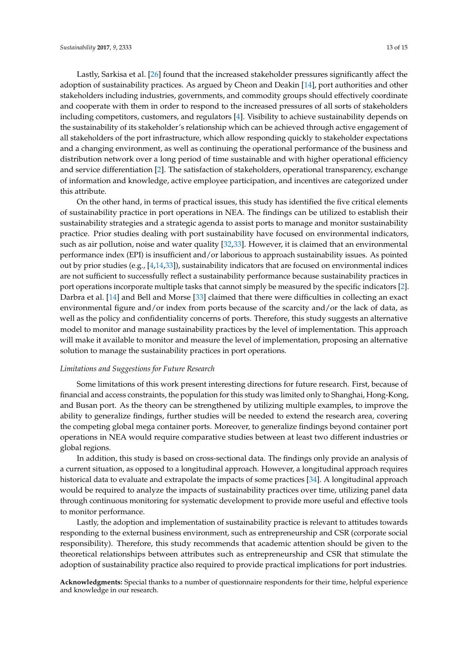Lastly, Sarkisa et al. [\[26\]](#page-14-17) found that the increased stakeholder pressures significantly affect the adoption of sustainability practices. As argued by Cheon and Deakin [\[14\]](#page-13-13), port authorities and other stakeholders including industries, governments, and commodity groups should effectively coordinate and cooperate with them in order to respond to the increased pressures of all sorts of stakeholders including competitors, customers, and regulators [\[4\]](#page-13-2). Visibility to achieve sustainability depends on the sustainability of its stakeholder's relationship which can be achieved through active engagement of all stakeholders of the port infrastructure, which allow responding quickly to stakeholder expectations and a changing environment, as well as continuing the operational performance of the business and distribution network over a long period of time sustainable and with higher operational efficiency and service differentiation [\[2\]](#page-13-9). The satisfaction of stakeholders, operational transparency, exchange of information and knowledge, active employee participation, and incentives are categorized under this attribute.

On the other hand, in terms of practical issues, this study has identified the five critical elements of sustainability practice in port operations in NEA. The findings can be utilized to establish their sustainability strategies and a strategic agenda to assist ports to manage and monitor sustainability practice. Prior studies dealing with port sustainability have focused on environmental indicators, such as air pollution, noise and water quality [\[32,](#page-14-10)[33\]](#page-14-11). However, it is claimed that an environmental performance index (EPI) is insufficient and/or laborious to approach sustainability issues. As pointed out by prior studies (e.g.,  $[4,14,33]$  $[4,14,33]$  $[4,14,33]$ ), sustainability indicators that are focused on environmental indices are not sufficient to successfully reflect a sustainability performance because sustainability practices in port operations incorporate multiple tasks that cannot simply be measured by the specific indicators [\[2\]](#page-13-9). Darbra et al. [\[14\]](#page-13-13) and Bell and Morse [\[33\]](#page-14-11) claimed that there were difficulties in collecting an exact environmental figure and/or index from ports because of the scarcity and/or the lack of data, as well as the policy and confidentiality concerns of ports. Therefore, this study suggests an alternative model to monitor and manage sustainability practices by the level of implementation. This approach will make it available to monitor and measure the level of implementation, proposing an alternative solution to manage the sustainability practices in port operations.

## *Limitations and Suggestions for Future Research*

Some limitations of this work present interesting directions for future research. First, because of financial and access constraints, the population for this study was limited only to Shanghai, Hong-Kong, and Busan port. As the theory can be strengthened by utilizing multiple examples, to improve the ability to generalize findings, further studies will be needed to extend the research area, covering the competing global mega container ports. Moreover, to generalize findings beyond container port operations in NEA would require comparative studies between at least two different industries or global regions.

In addition, this study is based on cross-sectional data. The findings only provide an analysis of a current situation, as opposed to a longitudinal approach. However, a longitudinal approach requires historical data to evaluate and extrapolate the impacts of some practices [\[34\]](#page-14-12). A longitudinal approach would be required to analyze the impacts of sustainability practices over time, utilizing panel data through continuous monitoring for systematic development to provide more useful and effective tools to monitor performance.

Lastly, the adoption and implementation of sustainability practice is relevant to attitudes towards responding to the external business environment, such as entrepreneurship and CSR (corporate social responsibility). Therefore, this study recommends that academic attention should be given to the theoretical relationships between attributes such as entrepreneurship and CSR that stimulate the adoption of sustainability practice also required to provide practical implications for port industries.

**Acknowledgments:** Special thanks to a number of questionnaire respondents for their time, helpful experience and knowledge in our research.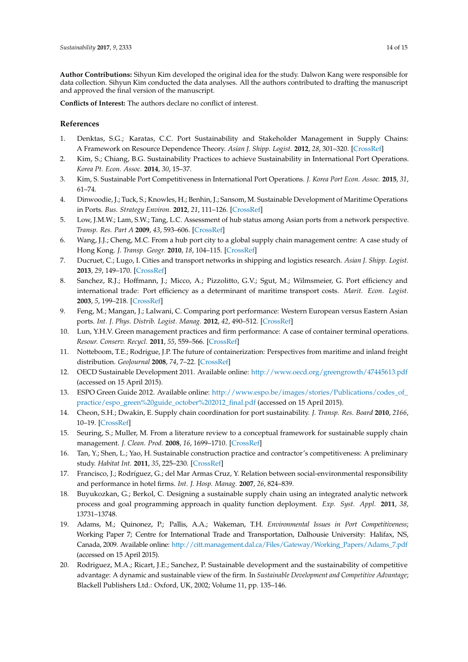**Author Contributions:** Sihyun Kim developed the original idea for the study. Dalwon Kang were responsible for data collection. Sihyun Kim conducted the data analyses. All the authors contributed to drafting the manuscript and approved the final version of the manuscript.

**Conflicts of Interest:** The authors declare no conflict of interest.

## **References**

- <span id="page-13-0"></span>1. Denktas, S.G.; Karatas, C.C. Port Sustainability and Stakeholder Management in Supply Chains: A Framework on Resource Dependence Theory. *Asian J. Shipp. Logist.* **2012**, *28*, 301–320. [\[CrossRef\]](http://dx.doi.org/10.1016/j.ajsl.2013.01.002)
- <span id="page-13-9"></span>2. Kim, S.; Chiang, B.G. Sustainability Practices to achieve Sustainability in International Port Operations. *Korea Pt. Econ. Assoc.* **2014**, *30*, 15–37.
- <span id="page-13-1"></span>3. Kim, S. Sustainable Port Competitiveness in International Port Operations. *J. Korea Port Econ. Assoc.* **2015**, *31*, 61–74.
- <span id="page-13-2"></span>4. Dinwoodie, J.; Tuck, S.; Knowles, H.; Benhin, J.; Sansom, M. Sustainable Development of Maritime Operations in Ports. *Bus. Strategy Environ.* **2012**, *21*, 111–126. [\[CrossRef\]](http://dx.doi.org/10.1002/bse.718)
- <span id="page-13-3"></span>5. Low, J.M.W.; Lam, S.W.; Tang, L.C. Assessment of hub status among Asian ports from a network perspective. *Transp. Res. Part A* **2009**, *43*, 593–606. [\[CrossRef\]](http://dx.doi.org/10.1016/j.tra.2009.04.004)
- <span id="page-13-6"></span>6. Wang, J.J.; Cheng, M.C. From a hub port city to a global supply chain management centre: A case study of Hong Kong. *J. Transp. Geogr.* **2010**, *18*, 104–115. [\[CrossRef\]](http://dx.doi.org/10.1016/j.jtrangeo.2009.02.009)
- <span id="page-13-4"></span>7. Ducruet, C.; Lugo, I. Cities and transport networks in shipping and logistics research. *Asian J. Shipp. Logist.* **2013**, *29*, 149–170. [\[CrossRef\]](http://dx.doi.org/10.1016/j.ajsl.2013.08.002)
- <span id="page-13-5"></span>8. Sanchez, R.J.; Hoffmann, J.; Micco, A.; Pizzolitto, G.V.; Sgut, M.; Wilmsmeier, G. Port efficiency and international trade: Port efficiency as a determinant of maritime transport costs. *Marit. Econ. Logist.* **2003**, *5*, 199–218. [\[CrossRef\]](http://dx.doi.org/10.1057/palgrave.mel.9100073)
- <span id="page-13-7"></span>9. Feng, M.; Mangan, J.; Lalwani, C. Comparing port performance: Western European versus Eastern Asian ports. *Int. J. Phys. Distrib. Logist. Manag.* **2012**, *42*, 490–512. [\[CrossRef\]](http://dx.doi.org/10.1108/09600031211246537)
- <span id="page-13-8"></span>10. Lun, Y.H.V. Green management practices and firm performance: A case of container terminal operations. *Resour. Conserv. Recycl.* **2011**, *55*, 559–566. [\[CrossRef\]](http://dx.doi.org/10.1016/j.resconrec.2010.12.001)
- <span id="page-13-10"></span>11. Notteboom, T.E.; Rodrigue, J.P. The future of containerization: Perspectives from maritime and inland freight distribution. *GeoJournal* **2008**, *74*, 7–22. [\[CrossRef\]](http://dx.doi.org/10.1007/s10708-008-9211-3)
- <span id="page-13-11"></span>12. OECD Sustainable Development 2011. Available online: <http://www.oecd.org/greengrowth/47445613.pdf> (accessed on 15 April 2015).
- <span id="page-13-12"></span>13. ESPO Green Guide 2012. Available online: [http://www.espo.be/images/stories/Publications/codes\\_of\\_](http://www.espo.be/images/stories/Publications/codes_of_practice/espo_green%20guide_october%202012_final.pdf) [practice/espo\\_green%20guide\\_october%202012\\_final.pdf](http://www.espo.be/images/stories/Publications/codes_of_practice/espo_green%20guide_october%202012_final.pdf) (accessed on 15 April 2015).
- <span id="page-13-13"></span>14. Cheon, S.H.; Dwakin, E. Supply chain coordination for port sustainability. *J. Transp. Res. Board* **2010**, *2166*, 10–19. [\[CrossRef\]](http://dx.doi.org/10.3141/2166-02)
- <span id="page-13-14"></span>15. Seuring, S.; Muller, M. From a literature review to a conceptual framework for sustainable supply chain management. *J. Clean. Prod.* **2008**, *16*, 1699–1710. [\[CrossRef\]](http://dx.doi.org/10.1016/j.jclepro.2008.04.020)
- <span id="page-13-15"></span>16. Tan, Y.; Shen, L.; Yao, H. Sustainable construction practice and contractor's competitiveness: A preliminary study. *Habitat Int.* **2011**, *35*, 225–230. [\[CrossRef\]](http://dx.doi.org/10.1016/j.habitatint.2010.09.008)
- <span id="page-13-16"></span>17. Francisco, J.; Rodríguez, G.; del Mar Armas Cruz, Y. Relation between social-environmental responsibility and performance in hotel firms. *Int. J. Hosp. Manag.* **2007**, *26*, 824–839.
- <span id="page-13-17"></span>18. Buyukozkan, G.; Berkol, C. Designing a sustainable supply chain using an integrated analytic network process and goal programming approach in quality function deployment. *Exp. Syst. Appl.* **2011**, *38*, 13731–13748.
- <span id="page-13-18"></span>19. Adams, M.; Quinonez, P.; Pallis, A.A.; Wakeman, T.H. *Environmental Issues in Port Competitiveness*; Working Paper 7; Centre for International Trade and Transportation, Dalhousie University: Halifax, NS, Canada, 2009. Available online: [http://citt.management.dal.ca/Files/Gateway/Working\\_Papers/Adams\\_7.pdf](http://citt.management.dal.ca/Files/Gateway/Working_Papers/Adams_7.pdf) (accessed on 15 April 2015).
- <span id="page-13-19"></span>20. Rodriguez, M.A.; Ricart, J.E.; Sanchez, P. Sustainable development and the sustainability of competitive advantage: A dynamic and sustainable view of the firm. In *Sustainable Development and Competitive Advantage*; Blackell Publishers Ltd.: Oxford, UK, 2002; Volume 11, pp. 135–146.